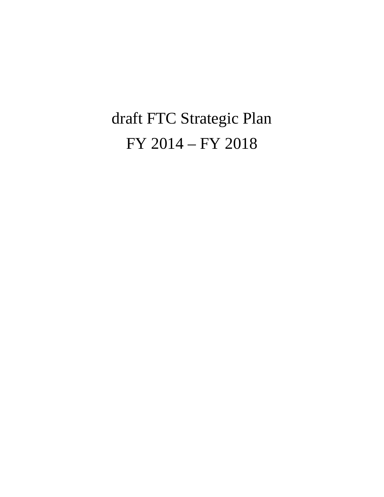# draft FTC Strategic Plan FY 2014 – FY 2018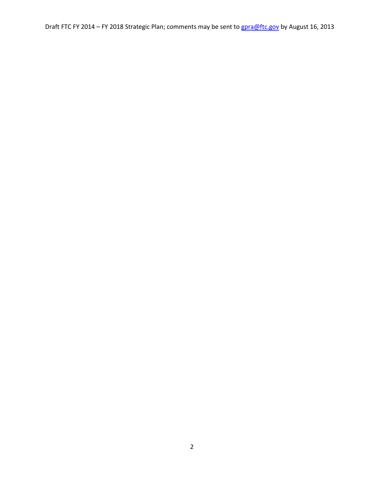Draft FTC FY 2014 - FY 2018 Strategic Plan; comments may be sent to gpra@ftc.gov by August 16, 2013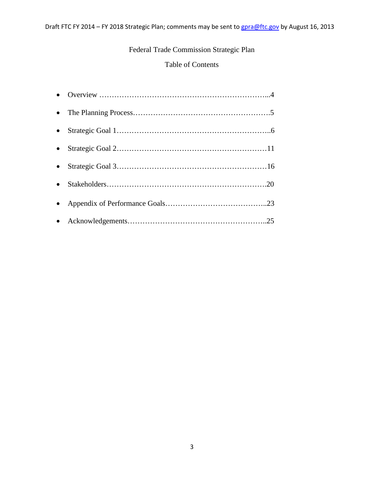# Federal Trade Commission Strategic Plan

# Table of Contents

| $\bullet$ |  |
|-----------|--|
| $\bullet$ |  |
|           |  |
|           |  |
|           |  |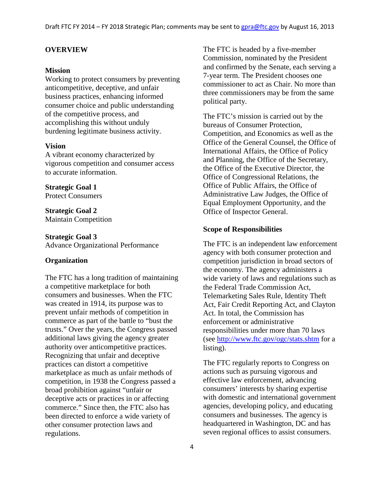## **OVERVIEW**

#### **Mission**

Working to protect consumers by preventing anticompetitive, deceptive, and unfair business practices, enhancing informed consumer choice and public understanding of the competitive process, and accomplishing this without unduly burdening legitimate business activity.

#### **Vision**

A vibrant economy characterized by vigorous competition and consumer access to accurate information.

**Strategic Goal 1** Protect Consumers

**Strategic Goal 2** Maintain Competition

**Strategic Goal 3**

Advance Organizational Performance

#### **Organization**

The FTC has a long tradition of maintaining a competitive marketplace for both consumers and businesses. When the FTC was created in 1914, its purpose was to prevent unfair methods of competition in commerce as part of the battle to "bust the trusts." Over the years, the Congress passed additional laws giving the agency greater authority over anticompetitive practices. Recognizing that unfair and deceptive practices can distort a competitive marketplace as much as unfair methods of competition, in 1938 the Congress passed a broad prohibition against "unfair or deceptive acts or practices in or affecting commerce." Since then, the FTC also has been directed to enforce a wide variety of other consumer protection laws and regulations.

The FTC is headed by a five-member Commission, nominated by the President and confirmed by the Senate, each serving a 7-year term. The President chooses one commissioner to act as Chair. No more than three commissioners may be from the same political party.

The FTC's mission is carried out by the bureaus of Consumer Protection, Competition, and Economics as well as the Office of the General Counsel, the Office of International Affairs, the Office of Policy and Planning, the Office of the Secretary, the Office of the Executive Director, the Office of Congressional Relations, the Office of Public Affairs, the Office of Administrative Law Judges, the Office of Equal Employment Opportunity, and the Office of Inspector General.

#### **Scope of Responsibilities**

The FTC is an independent law enforcement agency with both consumer protection and competition jurisdiction in broad sectors of the economy. The agency administers a wide variety of laws and regulations such as the Federal Trade Commission Act, Telemarketing Sales Rule, Identity Theft Act, Fair Credit Reporting Act, and Clayton Act. In total, the Commission has enforcement or administrative responsibilities under more than 70 laws (see http://www.ftc.gov/ogc/stats.shtm for a listing).

The FTC regularly reports to Congress on actions such as pursuing vigorous and effective law enforcement, advancing consumers' interests by sharing expertise with domestic and international government agencies, developing policy, and educating consumers and businesses. The agency is headquartered in Washington, DC and has seven regional offices to assist consumers.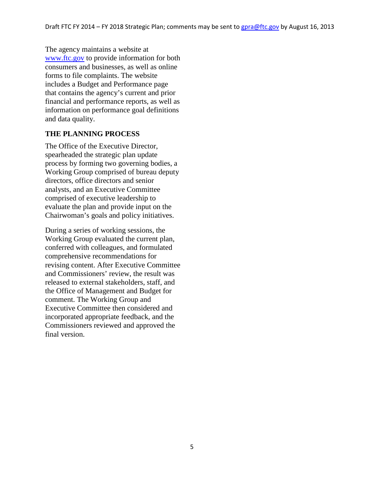The agency maintains a website at www.ftc.gov to provide information for both consumers and businesses, as well as online forms to file complaints. The website includes a Budget and Performance page that contains the agency's current and prior financial and performance reports, as well as information on performance goal definitions and data quality.

## **THE PLANNING PROCESS**

The Office of the Executive Director, spearheaded the strategic plan update process by forming two governing bodies, a Working Group comprised of bureau deputy directors, office directors and senior analysts, and an Executive Committee comprised of executive leadership to evaluate the plan and provide input on the Chairwoman's goals and policy initiatives.

During a series of working sessions, the Working Group evaluated the current plan, conferred with colleagues, and formulated comprehensive recommendations for revising content. After Executive Committee and Commissioners' review, the result was released to external stakeholders, staff, and the Office of Management and Budget for comment. The Working Group and Executive Committee then considered and incorporated appropriate feedback, and the Commissioners reviewed and approved the final version.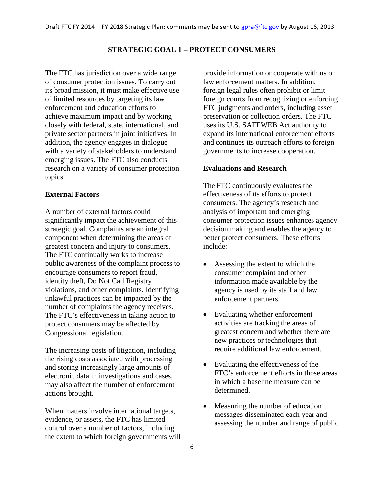# **STRATEGIC GOAL 1 – PROTECT CONSUMERS**

The FTC has jurisdiction over a wide range of consumer protection issues. To carry out its broad mission, it must make effective use of limited resources by targeting its law enforcement and education efforts to achieve maximum impact and by working closely with federal, state, international, and private sector partners in joint initiatives. In addition, the agency engages in dialogue with a variety of stakeholders to understand emerging issues. The FTC also conducts research on a variety of consumer protection topics.

#### **External Factors**

A number of external factors could significantly impact the achievement of this strategic goal. Complaints are an integral component when determining the areas of greatest concern and injury to consumers. The FTC continually works to increase public awareness of the complaint process to encourage consumers to report fraud, identity theft, Do Not Call Registry violations, and other complaints. Identifying unlawful practices can be impacted by the number of complaints the agency receives. The FTC's effectiveness in taking action to protect consumers may be affected by Congressional legislation.

The increasing costs of litigation, including the rising costs associated with processing and storing increasingly large amounts of electronic data in investigations and cases, may also affect the number of enforcement actions brought.

When matters involve international targets, evidence, or assets, the FTC has limited control over a number of factors, including the extent to which foreign governments will provide information or cooperate with us on law enforcement matters. In addition, foreign legal rules often prohibit or limit foreign courts from recognizing or enforcing FTC judgments and orders, including asset preservation or collection orders. The FTC uses its U.S. SAFEWEB Act authority to expand its international enforcement efforts and continues its outreach efforts to foreign governments to increase cooperation.

#### **Evaluations and Research**

The FTC continuously evaluates the effectiveness of its efforts to protect consumers. The agency's research and analysis of important and emerging consumer protection issues enhances agency decision making and enables the agency to better protect consumers. These efforts include:

- Assessing the extent to which the consumer complaint and other information made available by the agency is used by its staff and law enforcement partners.
- Evaluating whether enforcement activities are tracking the areas of greatest concern and whether there are new practices or technologies that require additional law enforcement.
- Evaluating the effectiveness of the FTC's enforcement efforts in those areas in which a baseline measure can be determined.
- Measuring the number of education messages disseminated each year and assessing the number and range of public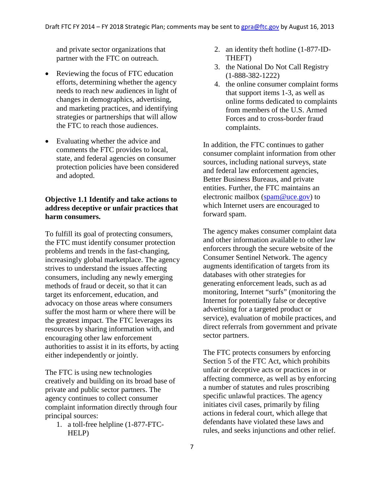and private sector organizations that partner with the FTC on outreach.

- Reviewing the focus of FTC education efforts, determining whether the agency needs to reach new audiences in light of changes in demographics, advertising, and marketing practices, and identifying strategies or partnerships that will allow the FTC to reach those audiences.
- Evaluating whether the advice and comments the FTC provides to local, state, and federal agencies on consumer protection policies have been considered and adopted.

# **Objective 1.1 Identify and take actions to address deceptive or unfair practices that harm consumers.**

To fulfill its goal of protecting consumers, the FTC must identify consumer protection problems and trends in the fast-changing, increasingly global marketplace. The agency strives to understand the issues affecting consumers, including any newly emerging methods of fraud or deceit, so that it can target its enforcement, education, and advocacy on those areas where consumers suffer the most harm or where there will be the greatest impact. The FTC leverages its resources by sharing information with, and encouraging other law enforcement authorities to assist it in its efforts, by acting either independently or jointly.

The FTC is using new technologies creatively and building on its broad base of private and public sector partners. The agency continues to collect consumer complaint information directly through four principal sources:

1. a toll-free helpline (1-877-FTC-HELP)

- 2. an identity theft hotline (1-877-ID-THEFT)
- 3. the National Do Not Call Registry (1-888-382-1222)
- 4. the online consumer complaint forms that support items 1-3, as well as online forms dedicated to complaints from members of the U.S. Armed Forces and to cross-border fraud complaints.

In addition, the FTC continues to gather consumer complaint information from other sources, including national surveys, state and federal law enforcement agencies, Better Business Bureaus, and private entities. Further, the FTC maintains an electronic mailbox (spam@uce.gov) to which Internet users are encouraged to forward spam.

The agency makes consumer complaint data and other information available to other law enforcers through the secure website of the Consumer Sentinel Network. The agency augments identification of targets from its databases with other strategies for generating enforcement leads, such as ad monitoring, Internet "surfs" (monitoring the Internet for potentially false or deceptive advertising for a targeted product or service), evaluation of mobile practices, and direct referrals from government and private sector partners.

The FTC protects consumers by enforcing Section 5 of the FTC Act, which prohibits unfair or deceptive acts or practices in or affecting commerce, as well as by enforcing a number of statutes and rules proscribing specific unlawful practices. The agency initiates civil cases, primarily by filing actions in federal court, which allege that defendants have violated these laws and rules, and seeks injunctions and other relief.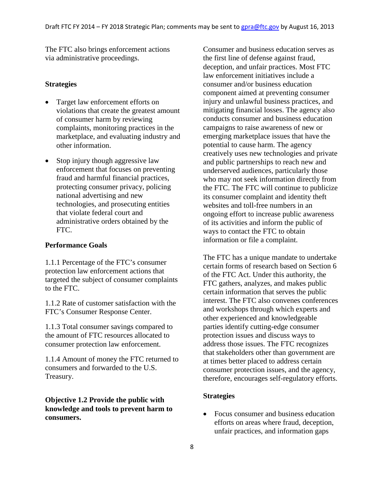The FTC also brings enforcement actions via administrative proceedings.

#### **Strategies**

- Target law enforcement efforts on violations that create the greatest amount of consumer harm by reviewing complaints, monitoring practices in the marketplace, and evaluating industry and other information.
- Stop injury though aggressive law enforcement that focuses on preventing fraud and harmful financial practices, protecting consumer privacy, policing national advertising and new technologies, and prosecuting entities that violate federal court and administrative orders obtained by the FTC.

# **Performance Goals**

1.1.1 Percentage of the FTC's consumer protection law enforcement actions that targeted the subject of consumer complaints to the FTC.

1.1.2 Rate of customer satisfaction with the FTC's Consumer Response Center.

1.1.3 Total consumer savings compared to the amount of FTC resources allocated to consumer protection law enforcement.

1.1.4 Amount of money the FTC returned to consumers and forwarded to the U.S. Treasury.

**Objective 1.2 Provide the public with knowledge and tools to prevent harm to consumers.** 

Consumer and business education serves as the first line of defense against fraud, deception, and unfair practices. Most FTC law enforcement initiatives include a consumer and/or business education component aimed at preventing consumer injury and unlawful business practices, and mitigating financial losses. The agency also conducts consumer and business education campaigns to raise awareness of new or emerging marketplace issues that have the potential to cause harm. The agency creatively uses new technologies and private and public partnerships to reach new and underserved audiences, particularly those who may not seek information directly from the FTC. The FTC will continue to publicize its consumer complaint and identity theft websites and toll-free numbers in an ongoing effort to increase public awareness of its activities and inform the public of ways to contact the FTC to obtain information or file a complaint.

The FTC has a unique mandate to undertake certain forms of research based on Section 6 of the FTC Act. Under this authority, the FTC gathers, analyzes, and makes public certain information that serves the public interest. The FTC also convenes conferences and workshops through which experts and other experienced and knowledgeable parties identify cutting-edge consumer protection issues and discuss ways to address those issues. The FTC recognizes that stakeholders other than government are at times better placed to address certain consumer protection issues, and the agency, therefore, encourages self-regulatory efforts.

#### **Strategies**

• Focus consumer and business education efforts on areas where fraud, deception, unfair practices, and information gaps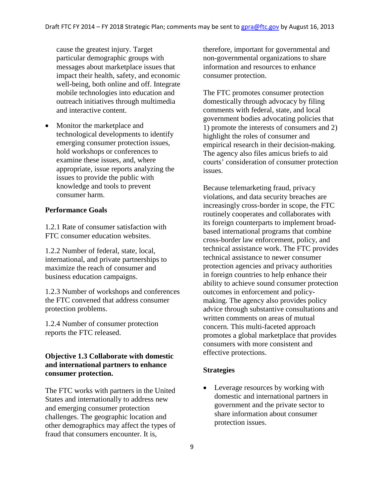cause the greatest injury. Target particular demographic groups with messages about marketplace issues that impact their health, safety, and economic well-being, both online and off. Integrate mobile technologies into education and outreach initiatives through multimedia and interactive content.

• Monitor the marketplace and technological developments to identify emerging consumer protection issues, hold workshops or conferences to examine these issues, and, where appropriate, issue reports analyzing the issues to provide the public with knowledge and tools to prevent consumer harm.

#### **Performance Goals**

1.2.1 Rate of consumer satisfaction with FTC consumer education websites.

1.2.2 Number of federal, state, local, international, and private partnerships to maximize the reach of consumer and business education campaigns.

1.2.3 Number of workshops and conferences the FTC convened that address consumer protection problems.

1.2.4 Number of consumer protection reports the FTC released.

# **Objective 1.3 Collaborate with domestic and international partners to enhance consumer protection.**

The FTC works with partners in the United States and internationally to address new and emerging consumer protection challenges. The geographic location and other demographics may affect the types of fraud that consumers encounter. It is,

therefore, important for governmental and non-governmental organizations to share information and resources to enhance consumer protection.

The FTC promotes consumer protection domestically through advocacy by filing comments with federal, state, and local government bodies advocating policies that 1) promote the interests of consumers and 2) highlight the roles of consumer and empirical research in their decision-making. The agency also files amicus briefs to aid courts' consideration of consumer protection issues.

Because telemarketing fraud, privacy violations, and data security breaches are increasingly cross-border in scope, the FTC routinely cooperates and collaborates with its foreign counterparts to implement broadbased international programs that combine cross-border law enforcement, policy, and technical assistance work. The FTC provides technical assistance to newer consumer protection agencies and privacy authorities in foreign countries to help enhance their ability to achieve sound consumer protection outcomes in enforcement and policymaking. The agency also provides policy advice through substantive consultations and written comments on areas of mutual concern. This multi-faceted approach promotes a global marketplace that provides consumers with more consistent and effective protections.

#### **Strategies**

• Leverage resources by working with domestic and international partners in government and the private sector to share information about consumer protection issues.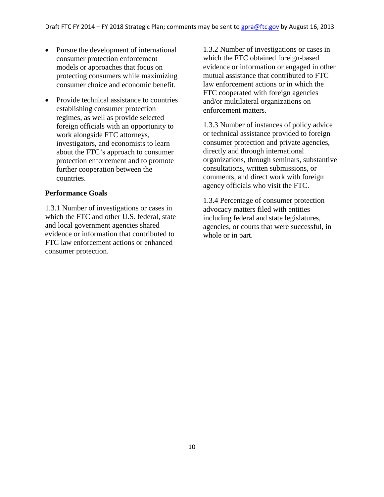- Pursue the development of international consumer protection enforcement models or approaches that focus on protecting consumers while maximizing consumer choice and economic benefit.
- Provide technical assistance to countries establishing consumer protection regimes, as well as provide selected foreign officials with an opportunity to work alongside FTC attorneys, investigators, and economists to learn about the FTC's approach to consumer protection enforcement and to promote further cooperation between the countries.

# **Performance Goals**

1.3.1 Number of investigations or cases in which the FTC and other U.S. federal, state and local government agencies shared evidence or information that contributed to FTC law enforcement actions or enhanced consumer protection.

1.3.2 Number of investigations or cases in which the FTC obtained foreign-based evidence or information or engaged in other mutual assistance that contributed to FTC law enforcement actions or in which the FTC cooperated with foreign agencies and/or multilateral organizations on enforcement matters.

1.3.3 Number of instances of policy advice or technical assistance provided to foreign consumer protection and private agencies, directly and through international organizations, through seminars, substantive consultations, written submissions, or comments, and direct work with foreign agency officials who visit the FTC.

1.3.4 Percentage of consumer protection advocacy matters filed with entities including federal and state legislatures, agencies, or courts that were successful, in whole or in part.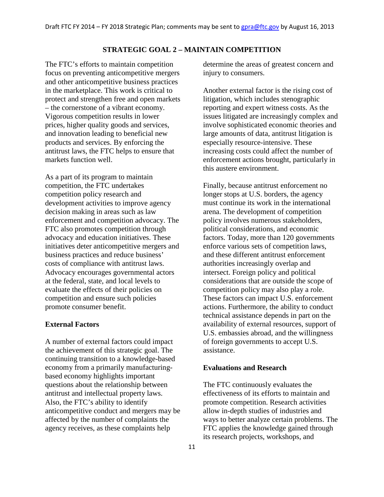## **STRATEGIC GOAL 2 – MAINTAIN COMPETITION**

The FTC's efforts to maintain competition focus on preventing anticompetitive mergers and other anticompetitive business practices in the marketplace. This work is critical to protect and strengthen free and open markets – the cornerstone of a vibrant economy. Vigorous competition results in lower prices, higher quality goods and services, and innovation leading to beneficial new products and services. By enforcing the antitrust laws, the FTC helps to ensure that markets function well.

As a part of its program to maintain competition, the FTC undertakes competition policy research and development activities to improve agency decision making in areas such as law enforcement and competition advocacy. The FTC also promotes competition through advocacy and education initiatives. These initiatives deter anticompetitive mergers and business practices and reduce business' costs of compliance with antitrust laws. Advocacy encourages governmental actors at the federal, state, and local levels to evaluate the effects of their policies on competition and ensure such policies promote consumer benefit.

#### **External Factors**

A number of external factors could impact the achievement of this strategic goal. The continuing transition to a knowledge-based economy from a primarily manufacturingbased economy highlights important questions about the relationship between antitrust and intellectual property laws. Also, the FTC's ability to identify anticompetitive conduct and mergers may be affected by the number of complaints the agency receives, as these complaints help

determine the areas of greatest concern and injury to consumers.

Another external factor is the rising cost of litigation, which includes stenographic reporting and expert witness costs. As the issues litigated are increasingly complex and involve sophisticated economic theories and large amounts of data, antitrust litigation is especially resource-intensive. These increasing costs could affect the number of enforcement actions brought, particularly in this austere environment.

Finally, because antitrust enforcement no longer stops at U.S. borders, the agency must continue its work in the international arena. The development of competition policy involves numerous stakeholders, political considerations, and economic factors. Today, more than 120 governments enforce various sets of competition laws, and these different antitrust enforcement authorities increasingly overlap and intersect. Foreign policy and political considerations that are outside the scope of competition policy may also play a role. These factors can impact U.S. enforcement actions. Furthermore, the ability to conduct technical assistance depends in part on the availability of external resources, support of U.S. embassies abroad, and the willingness of foreign governments to accept U.S. assistance.

#### **Evaluations and Research**

The FTC continuously evaluates the effectiveness of its efforts to maintain and promote competition. Research activities allow in-depth studies of industries and ways to better analyze certain problems. The FTC applies the knowledge gained through its research projects, workshops, and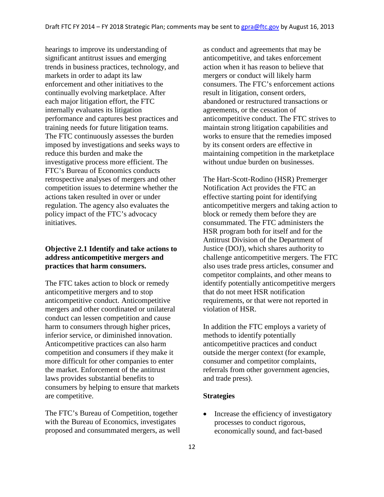hearings to improve its understanding of significant antitrust issues and emerging trends in business practices, technology, and markets in order to adapt its law enforcement and other initiatives to the continually evolving marketplace. After each major litigation effort, the FTC internally evaluates its litigation performance and captures best practices and training needs for future litigation teams. The FTC continuously assesses the burden imposed by investigations and seeks ways to reduce this burden and make the investigative process more efficient. The FTC's Bureau of Economics conducts retrospective analyses of mergers and other competition issues to determine whether the actions taken resulted in over or under regulation. The agency also evaluates the policy impact of the FTC's advocacy initiatives.

# **Objective 2.1 Identify and take actions to address anticompetitive mergers and practices that harm consumers.**

The FTC takes action to block or remedy anticompetitive mergers and to stop anticompetitive conduct. Anticompetitive mergers and other coordinated or unilateral conduct can lessen competition and cause harm to consumers through higher prices, inferior service, or diminished innovation. Anticompetitive practices can also harm competition and consumers if they make it more difficult for other companies to enter the market. Enforcement of the antitrust laws provides substantial benefits to consumers by helping to ensure that markets are competitive.

The FTC's Bureau of Competition, together with the Bureau of Economics, investigates proposed and consummated mergers, as well as conduct and agreements that may be anticompetitive, and takes enforcement action when it has reason to believe that mergers or conduct will likely harm consumers. The FTC's enforcement actions result in litigation, consent orders, abandoned or restructured transactions or agreements, or the cessation of anticompetitive conduct. The FTC strives to maintain strong litigation capabilities and works to ensure that the remedies imposed by its consent orders are effective in maintaining competition in the marketplace without undue burden on businesses.

The Hart-Scott-Rodino (HSR) Premerger Notification Act provides the FTC an effective starting point for identifying anticompetitive mergers and taking action to block or remedy them before they are consummated. The FTC administers the HSR program both for itself and for the Antitrust Division of the Department of Justice (DOJ), which shares authority to challenge anticompetitive mergers. The FTC also uses trade press articles, consumer and competitor complaints, and other means to identify potentially anticompetitive mergers that do not meet HSR notification requirements, or that were not reported in violation of HSR.

In addition the FTC employs a variety of methods to identify potentially anticompetitive practices and conduct outside the merger context (for example, consumer and competitor complaints, referrals from other government agencies, and trade press).

#### **Strategies**

• Increase the efficiency of investigatory processes to conduct rigorous, economically sound, and fact-based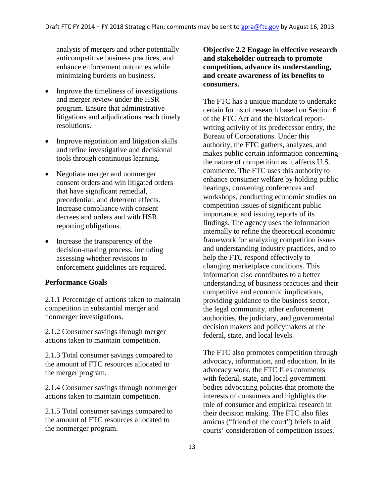analysis of mergers and other potentially anticompetitive business practices, and enhance enforcement outcomes while minimizing burdens on business.

- Improve the timeliness of investigations and merger review under the HSR program. Ensure that administrative litigations and adjudications reach timely resolutions.
- Improve negotiation and litigation skills and refine investigative and decisional tools through continuous learning.
- Negotiate merger and nonmerger consent orders and win litigated orders that have significant remedial, precedential, and deterrent effects. Increase compliance with consent decrees and orders and with HSR reporting obligations.
- Increase the transparency of the decision-making process, including assessing whether revisions to enforcement guidelines are required.

#### **Performance Goals**

2.1.1 Percentage of actions taken to maintain competition in substantial merger and nonmerger investigations.

2.1.2 Consumer savings through merger actions taken to maintain competition.

2.1.3 Total consumer savings compared to the amount of FTC resources allocated to the merger program.

2.1.4 Consumer savings through nonmerger actions taken to maintain competition.

2.1.5 Total consumer savings compared to the amount of FTC resources allocated to the nonmerger program.

# **Objective 2.2 Engage in effective research and stakeholder outreach to promote competition, advance its understanding, and create awareness of its benefits to consumers.**

The FTC has a unique mandate to undertake certain forms of research based on Section 6 of the FTC Act and the historical reportwriting activity of its predecessor entity, the Bureau of Corporations. Under this authority, the FTC gathers, analyzes, and makes public certain information concerning the nature of competition as it affects U.S. commerce. The FTC uses this authority to enhance consumer welfare by holding public hearings, convening conferences and workshops, conducting economic studies on competition issues of significant public importance, and issuing reports of its findings. The agency uses the information internally to refine the theoretical economic framework for analyzing competition issues and understanding industry practices, and to help the FTC respond effectively to changing marketplace conditions. This information also contributes to a better understanding of business practices and their competitive and economic implications, providing guidance to the business sector, the legal community, other enforcement authorities, the judiciary, and governmental decision makers and policymakers at the federal, state, and local levels.

The FTC also promotes competition through advocacy, information, and education. In its advocacy work, the FTC files comments with federal, state, and local government bodies advocating policies that promote the interests of consumers and highlights the role of consumer and empirical research in their decision making. The FTC also files amicus ("friend of the court") briefs to aid courts' consideration of competition issues.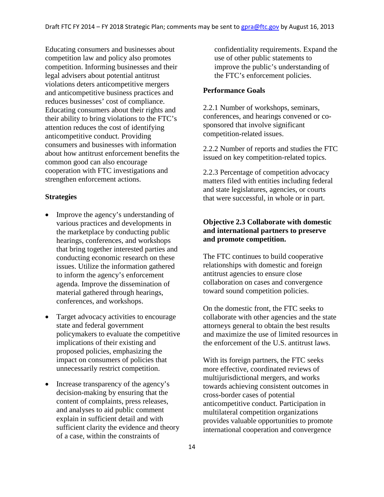Educating consumers and businesses about competition law and policy also promotes competition. Informing businesses and their legal advisers about potential antitrust violations deters anticompetitive mergers and anticompetitive business practices and reduces businesses' cost of compliance. Educating consumers about their rights and their ability to bring violations to the FTC's attention reduces the cost of identifying anticompetitive conduct. Providing consumers and businesses with information about how antitrust enforcement benefits the common good can also encourage cooperation with FTC investigations and strengthen enforcement actions.

#### **Strategies**

- Improve the agency's understanding of various practices and developments in the marketplace by conducting public hearings, conferences, and workshops that bring together interested parties and conducting economic research on these issues. Utilize the information gathered to inform the agency's enforcement agenda. Improve the dissemination of material gathered through hearings, conferences, and workshops.
- Target advocacy activities to encourage state and federal government policymakers to evaluate the competitive implications of their existing and proposed policies, emphasizing the impact on consumers of policies that unnecessarily restrict competition.
- Increase transparency of the agency's decision-making by ensuring that the content of complaints, press releases, and analyses to aid public comment explain in sufficient detail and with sufficient clarity the evidence and theory of a case, within the constraints of

confidentiality requirements. Expand the use of other public statements to improve the public's understanding of the FTC's enforcement policies.

#### **Performance Goals**

2.2.1 Number of workshops, seminars, conferences, and hearings convened or cosponsored that involve significant competition-related issues.

2.2.2 Number of reports and studies the FTC issued on key competition-related topics.

2.2.3 Percentage of competition advocacy matters filed with entities including federal and state legislatures, agencies, or courts that were successful, in whole or in part.

# **Objective 2.3 Collaborate with domestic and international partners to preserve and promote competition.**

The FTC continues to build cooperative relationships with domestic and foreign antitrust agencies to ensure close collaboration on cases and convergence toward sound competition policies.

On the domestic front, the FTC seeks to collaborate with other agencies and the state attorneys general to obtain the best results and maximize the use of limited resources in the enforcement of the U.S. antitrust laws.

With its foreign partners, the FTC seeks more effective, coordinated reviews of multijurisdictional mergers, and works towards achieving consistent outcomes in cross-border cases of potential anticompetitive conduct. Participation in multilateral competition organizations provides valuable opportunities to promote international cooperation and convergence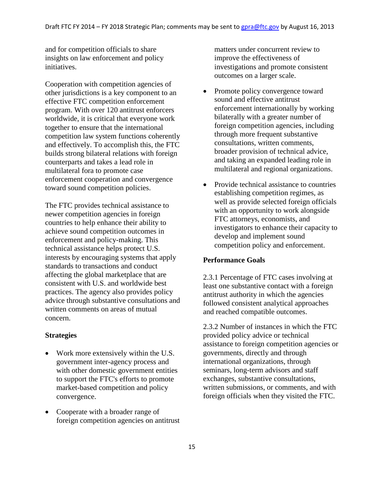and for competition officials to share insights on law enforcement and policy initiatives.

Cooperation with competition agencies of other jurisdictions is a key component to an effective FTC competition enforcement program. With over 120 antitrust enforcers worldwide, it is critical that everyone work together to ensure that the international competition law system functions coherently and effectively. To accomplish this, the FTC builds strong bilateral relations with foreign counterparts and takes a lead role in multilateral fora to promote case enforcement cooperation and convergence toward sound competition policies.

The FTC provides technical assistance to newer competition agencies in foreign countries to help enhance their ability to achieve sound competition outcomes in enforcement and policy-making. This technical assistance helps protect U.S. interests by encouraging systems that apply standards to transactions and conduct affecting the global marketplace that are consistent with U.S. and worldwide best practices. The agency also provides policy advice through substantive consultations and written comments on areas of mutual concern.

## **Strategies**

- Work more extensively within the U.S. government inter-agency process and with other domestic government entities to support the FTC's efforts to promote market-based competition and policy convergence.
- Cooperate with a broader range of foreign competition agencies on antitrust

matters under concurrent review to improve the effectiveness of investigations and promote consistent outcomes on a larger scale.

- Promote policy convergence toward sound and effective antitrust enforcement internationally by working bilaterally with a greater number of foreign competition agencies, including through more frequent substantive consultations, written comments, broader provision of technical advice, and taking an expanded leading role in multilateral and regional organizations.
- Provide technical assistance to countries establishing competition regimes, as well as provide selected foreign officials with an opportunity to work alongside FTC attorneys, economists, and investigators to enhance their capacity to develop and implement sound competition policy and enforcement.

#### **Performance Goals**

2.3.1 Percentage of FTC cases involving at least one substantive contact with a foreign antitrust authority in which the agencies followed consistent analytical approaches and reached compatible outcomes.

2.3.2 Number of instances in which the FTC provided policy advice or technical assistance to foreign competition agencies or governments, directly and through international organizations, through seminars, long-term advisors and staff exchanges, substantive consultations, written submissions, or comments, and with foreign officials when they visited the FTC.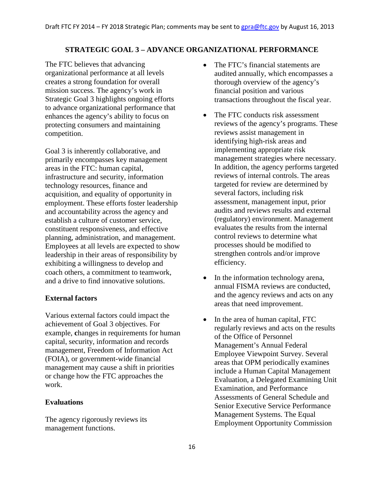# **STRATEGIC GOAL 3 – ADVANCE ORGANIZATIONAL PERFORMANCE**

The FTC believes that advancing organizational performance at all levels creates a strong foundation for overall mission success. The agency's work in Strategic Goal 3 highlights ongoing efforts to advance organizational performance that enhances the agency's ability to focus on protecting consumers and maintaining competition.

Goal 3 is inherently collaborative, and primarily encompasses key management areas in the FTC: human capital, infrastructure and security, information technology resources, finance and acquisition, and equality of opportunity in employment. These efforts foster leadership and accountability across the agency and establish a culture of customer service, constituent responsiveness, and effective planning, administration, and management. Employees at all levels are expected to show leadership in their areas of responsibility by exhibiting a willingness to develop and coach others, a commitment to teamwork, and a drive to find innovative solutions.

#### **External factors**

Various external factors could impact the achievement of Goal 3 objectives. For example, **changes** in requirements for human capital, security, information and records management, Freedom of Information Act (FOIA), or government-wide financial management may cause a shift in priorities or change how the FTC approaches the work.

#### **Evaluations**

The agency rigorously reviews its management functions.

- The FTC's financial statements are audited annually, which encompasses a thorough overview of the agency's financial position and various transactions throughout the fiscal year.
- The FTC conducts risk assessment reviews of the agency's programs. These reviews assist management in identifying high-risk areas and implementing appropriate risk management strategies where necessary. In addition, the agency performs targeted reviews of internal controls. The areas targeted for review are determined by several factors, including risk assessment, management input, prior audits and reviews results and external (regulatory) environment. Management evaluates the results from the internal control reviews to determine what processes should be modified to strengthen controls and/or improve efficiency.
- In the information technology arena, annual FISMA reviews are conducted, and the agency reviews and acts on any areas that need improvement.
- In the area of human capital, FTC regularly reviews and acts on the results of the Office of Personnel Management's Annual Federal Employee Viewpoint Survey. Several areas that OPM periodically examines include a Human Capital Management Evaluation, a Delegated Examining Unit Examination, and Performance Assessments of General Schedule and Senior Executive Service Performance Management Systems. The Equal Employment Opportunity Commission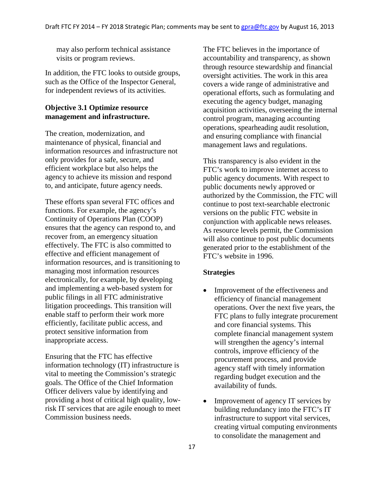may also perform technical assistance visits or program reviews.

In addition, the FTC looks to outside groups, such as the Office of the Inspector General, for independent reviews of its activities.

# **Objective 3.1 Optimize resource management and infrastructure.**

The creation, modernization, and maintenance of physical, financial and information resources and infrastructure not only provides for a safe, secure, and efficient workplace but also helps the agency to achieve its mission and respond to, and anticipate, future agency needs.

These efforts span several FTC offices and functions. For example, the agency's Continuity of Operations Plan (COOP) ensures that the agency can respond to, and recover from, an emergency situation effectively. The FTC is also committed to effective and efficient management of information resources, and is transitioning to managing most information resources electronically, for example, by developing and implementing a web-based system for public filings in all FTC administrative litigation proceedings. This transition will enable staff to perform their work more efficiently, facilitate public access, and protect sensitive information from inappropriate access.

Ensuring that the FTC has effective information technology (IT) infrastructure is vital to meeting the Commission's strategic goals. The Office of the Chief Information Officer delivers value by identifying and providing a host of critical high quality, lowrisk IT services that are agile enough to meet Commission business needs.

The FTC believes in the importance of accountability and transparency, as shown through resource stewardship and financial oversight activities. The work in this area covers a wide range of administrative and operational efforts, such as formulating and executing the agency budget, managing acquisition activities, overseeing the internal control program, managing accounting operations, spearheading audit resolution, and ensuring compliance with financial management laws and regulations.

This transparency is also evident in the FTC's work to improve internet access to public agency documents. With respect to public documents newly approved or authorized by the Commission, the FTC will continue to post text-searchable electronic versions on the public FTC website in conjunction with applicable news releases. As resource levels permit, the Commission will also continue to post public documents generated prior to the establishment of the FTC's website in 1996.

#### **Strategies**

- Improvement of the effectiveness and efficiency of financial management operations. Over the next five years, the FTC plans to fully integrate procurement and core financial systems. This complete financial management system will strengthen the agency's internal controls, improve efficiency of the procurement process, and provide agency staff with timely information regarding budget execution and the availability of funds.
- Improvement of agency IT services by building redundancy into the FTC's IT infrastructure to support vital services, creating virtual computing environments to consolidate the management and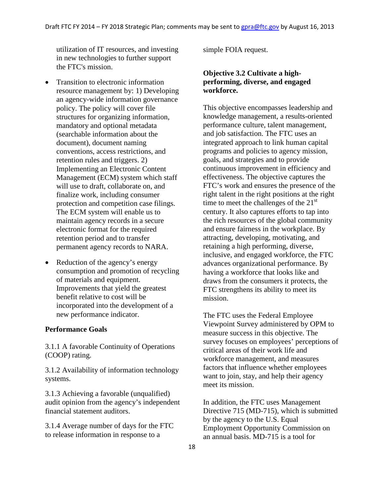utilization of IT resources, and investing in new technologies to further support the FTC's mission.

- Transition to electronic information resource management by: 1) Developing an agency-wide information governance policy. The policy will cover file structures for organizing information, mandatory and optional metadata (searchable information about the document), document naming conventions, access restrictions, and retention rules and triggers. 2) Implementing an Electronic Content Management (ECM) system which staff will use to draft, collaborate on, and finalize work, including consumer protection and competition case filings. The ECM system will enable us to maintain agency records in a secure electronic format for the required retention period and to transfer permanent agency records to NARA.
- Reduction of the agency's energy consumption and promotion of recycling of materials and equipment. Improvements that yield the greatest benefit relative to cost will be incorporated into the development of a new performance indicator.

# **Performance Goals**

3.1.1 A favorable Continuity of Operations (COOP) rating.

3.1.2 Availability of information technology systems.

3.1.3 Achieving a favorable (unqualified) audit opinion from the agency's independent financial statement auditors.

3.1.4 Average number of days for the FTC to release information in response to a

simple FOIA request.

# **Objective 3.2 Cultivate a highperforming, diverse, and engaged workforce.**

This objective encompasses leadership and knowledge management, a results-oriented performance culture, talent management, and job satisfaction. The FTC uses an integrated approach to link human capital programs and policies to agency mission, goals, and strategies and to provide continuous improvement in efficiency and effectiveness. The objective captures the FTC's work and ensures the presence of the right talent in the right positions at the right time to meet the challenges of the  $21<sup>st</sup>$ century. It also captures efforts to tap into the rich resources of the global community and ensure fairness in the workplace. By attracting, developing, motivating, and retaining a high performing, diverse, inclusive, and engaged workforce, the FTC advances organizational performance. By having a workforce that looks like and draws from the consumers it protects, the FTC strengthens its ability to meet its mission.

The FTC uses the Federal Employee Viewpoint Survey administered by OPM to measure success in this objective. The survey focuses on employees' perceptions of critical areas of their work life and workforce management, and measures factors that influence whether employees want to join, stay, and help their agency meet its mission.

In addition, the FTC uses Management Directive 715 (MD-715), which is submitted by the agency to the U.S. Equal Employment Opportunity Commission on an annual basis. MD-715 is a tool for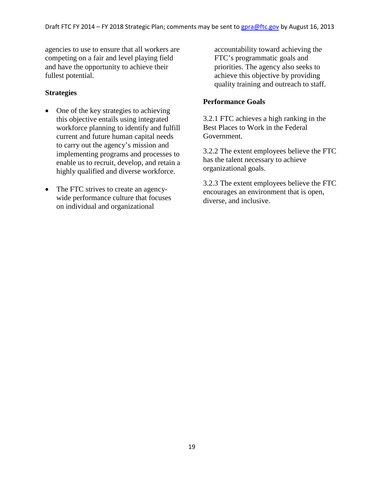agencies to use to ensure that all workers are competing on a fair and level playing field and have the opportunity to achieve their fullest potential.

# **Strategies**

- One of the key strategies to achieving this objective entails using integrated workforce planning to identify and fulfill current and future human capital needs to carry out the agency's mission and implementing programs and processes to enable us to recruit, develop, and retain a highly qualified and diverse workforce.
- The FTC strives to create an agencywide performance culture that focuses on individual and organizational

accountability toward achieving the FTC's programmatic goals and priorities. The agency also seeks to achieve this objective by providing quality training and outreach to staff.

# **Performance Goals**

3.2.1 FTC achieves a high ranking in the Best Places to Work in the Federal Government.

3.2.2 The extent employees believe the FTC has the talent necessary to achieve organizational goals.

3.2.3 The extent employees believe the FTC encourages an environment that is open, diverse, and inclusive.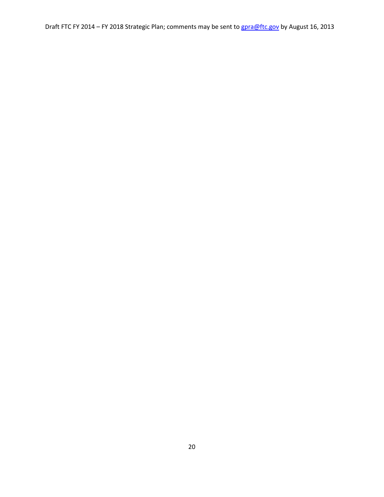Draft FTC FY 2014 - FY 2018 Strategic Plan; comments may be sent to **gpra@ftc.gov** by August 16, 2013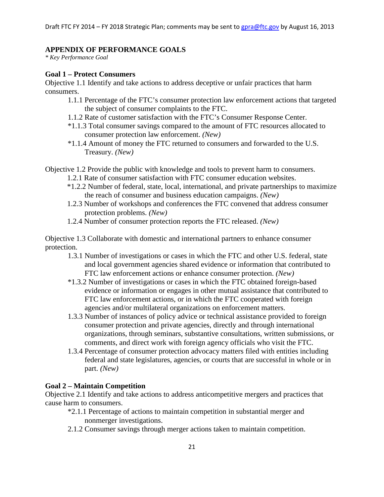## **APPENDIX OF PERFORMANCE GOALS**

*\* Key Performance Goal*

#### **Goal 1 – Protect Consumers**

Objective 1.1 Identify and take actions to address deceptive or unfair practices that harm consumers.

- 1.1.1 Percentage of the FTC's consumer protection law enforcement actions that targeted the subject of consumer complaints to the FTC.
- 1.1.2 Rate of customer satisfaction with the FTC's Consumer Response Center.
- \*1.1.3 Total consumer savings compared to the amount of FTC resources allocated to consumer protection law enforcement. *(New)*
- \*1.1.4 Amount of money the FTC returned to consumers and forwarded to the U.S. Treasury. *(New)*

Objective 1.2 Provide the public with knowledge and tools to prevent harm to consumers.

- 1.2.1 Rate of consumer satisfaction with FTC consumer education websites.
- \*1.2.2 Number of federal, state, local, international, and private partnerships to maximize the reach of consumer and business education campaigns. *(New)*
- 1.2.3 Number of workshops and conferences the FTC convened that address consumer protection problems. *(New)*
- 1.2.4 Number of consumer protection reports the FTC released. *(New)*

Objective 1.3 Collaborate with domestic and international partners to enhance consumer protection.

- 1.3.1 Number of investigations or cases in which the FTC and other U.S. federal, state and local government agencies shared evidence or information that contributed to FTC law enforcement actions or enhance consumer protection. *(New)*
- \*1.3.2 Number of investigations or cases in which the FTC obtained foreign-based evidence or information or engages in other mutual assistance that contributed to FTC law enforcement actions, or in which the FTC cooperated with foreign agencies and/or multilateral organizations on enforcement matters.
- 1.3.3 Number of instances of policy advice or technical assistance provided to foreign consumer protection and private agencies, directly and through international organizations, through seminars, substantive consultations, written submissions, or comments, and direct work with foreign agency officials who visit the FTC.
- 1.3.4 Percentage of consumer protection advocacy matters filed with entities including federal and state legislatures, agencies, or courts that are successful in whole or in part. *(New)*

#### **Goal 2 – Maintain Competition**

Objective 2.1 Identify and take actions to address anticompetitive mergers and practices that cause harm to consumers.

- \*2.1.1 Percentage of actions to maintain competition in substantial merger and nonmerger investigations.
- 2.1.2 Consumer savings through merger actions taken to maintain competition.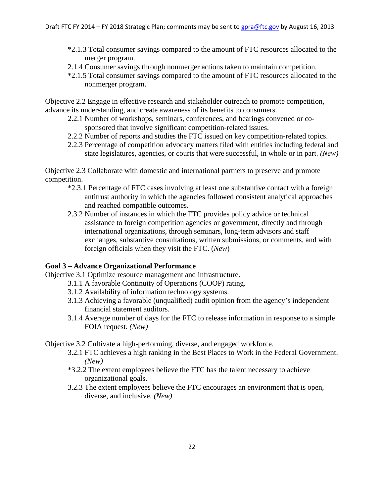- \*2.1.3 Total consumer savings compared to the amount of FTC resources allocated to the merger program.
- 2.1.4 Consumer savings through nonmerger actions taken to maintain competition.
- \*2.1.5 Total consumer savings compared to the amount of FTC resources allocated to the nonmerger program.

Objective 2.2 Engage in effective research and stakeholder outreach to promote competition, advance its understanding, and create awareness of its benefits to consumers.

- 2.2.1 Number of workshops, seminars, conferences, and hearings convened or cosponsored that involve significant competition-related issues.
- 2.2.2 Number of reports and studies the FTC issued on key competition-related topics.
- 2.2.3 Percentage of competition advocacy matters filed with entities including federal and state legislatures, agencies, or courts that were successful, in whole or in part. *(New)*

Objective 2.3 Collaborate with domestic and international partners to preserve and promote competition.

- \*2.3.1 Percentage of FTC cases involving at least one substantive contact with a foreign antitrust authority in which the agencies followed consistent analytical approaches and reached compatible outcomes.
- 2.3.2 Number of instances in which the FTC provides policy advice or technical assistance to foreign competition agencies or government, directly and through international organizations, through seminars, long-term advisors and staff exchanges, substantive consultations, written submissions, or comments, and with foreign officials when they visit the FTC. (*New*)

# **Goal 3 – Advance Organizational Performance**

Objective 3.1 Optimize resource management and infrastructure.

- 3.1.1 A favorable Continuity of Operations (COOP) rating.
- 3.1.2 Availability of information technology systems.
- 3.1.3 Achieving a favorable (unqualified) audit opinion from the agency's independent financial statement auditors.
- 3.1.4 Average number of days for the FTC to release information in response to a simple FOIA request. *(New)*

# Objective 3.2 Cultivate a high-performing, diverse, and engaged workforce.

- 3.2.1 FTC achieves a high ranking in the Best Places to Work in the Federal Government. *(New)*
- \*3.2.2 The extent employees believe the FTC has the talent necessary to achieve organizational goals.
- 3.2.3 The extent employees believe the FTC encourages an environment that is open, diverse, and inclusive. *(New)*